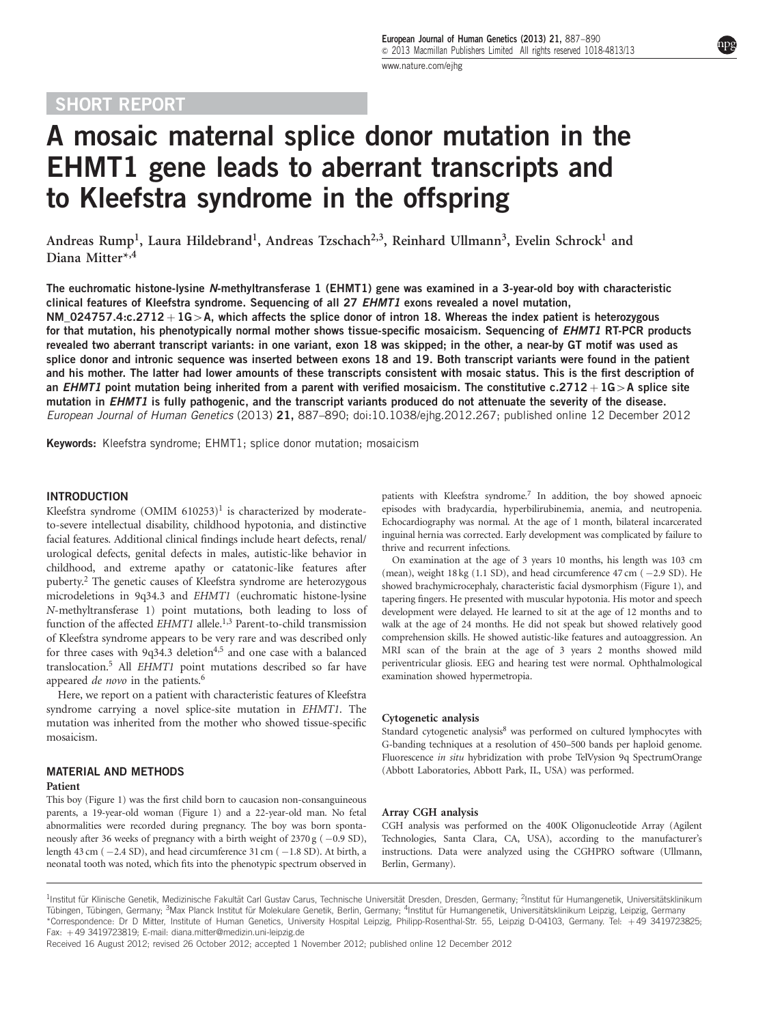## SHORT REPORT

# A mosaic maternal splice donor mutation in the EHMT1 gene leads to aberrant transcripts and to Kleefstra syndrome in the offspring

Andreas Rump<sup>1</sup>, Laura Hildebrand<sup>1</sup>, Andreas Tzschach<sup>2,3</sup>, Reinhard Ullmann<sup>3</sup>, Evelin Schrock<sup>1</sup> and Diana Mitter\*,4

The euchromatic histone-lysine N-methyltransferase 1 (EHMT1) gene was examined in a 3-year-old boy with characteristic clinical features of Kleefstra syndrome. Sequencing of all 27 EHMT1 exons revealed a novel mutation, NM\_024757.4:c.2712 + 1G > A, which affects the splice donor of intron 18. Whereas the index patient is heterozygous for that mutation, his phenotypically normal mother shows tissue-specific mosaicism. Sequencing of EHMT1 RT-PCR products revealed two aberrant transcript variants: in one variant, exon 18 was skipped; in the other, a near-by GT motif was used as splice donor and intronic sequence was inserted between exons 18 and 19. Both transcript variants were found in the patient and his mother. The latter had lower amounts of these transcripts consistent with mosaic status. This is the first description of an EHMT1 point mutation being inherited from a parent with verified mosaicism. The constitutive c.2712  $+$  1G > A splice site mutation in EHMT1 is fully pathogenic, and the transcript variants produced do not attenuate the severity of the disease. European Journal of Human Genetics (2013) 21, 887–890; doi[:10.1038/ejhg.2012.267;](http://dx.doi.org/10.1038/ejhg.2012.267) published online 12 December 2012

Keywords: Kleefstra syndrome; EHMT1; splice donor mutation; mosaicism

#### INTRODUCTION

Kleefstra syndrome  $(OMIM 610253)^1$  is characterized by moderateto-severe intellectual disability, childhood hypotonia, and distinctive facial features. Additional clinical findings include heart defects, renal/ urological defects, genital defects in males, autistic-like behavior in childhood, and extreme apathy or catatonic-like features after puberty[.2](#page-3-0) The genetic causes of Kleefstra syndrome are heterozygous microdeletions in 9q34.3 and EHMT1 (euchromatic histone-lysine N-methyltransferase 1) point mutations, both leading to loss of function of the affected EHMT1 allele.<sup>1,3</sup> Parent-to-child transmission of Kleefstra syndrome appears to be very rare and was described only for three cases with  $9q34.3$  deletion<sup>4,5</sup> and one case with a balanced translocation[.5](#page-3-0) All EHMT1 point mutations described so far have appeared de novo in the patients.<sup>[6](#page-3-0)</sup>

Here, we report on a patient with characteristic features of Kleefstra syndrome carrying a novel splice-site mutation in EHMT1. The mutation was inherited from the mother who showed tissue-specific mosaicism.

### MATERIAL AND METHODS

#### Patient

This boy ([Figure 1\)](#page-1-0) was the first child born to caucasion non-consanguineous parents, a 19-year-old woman [\(Figure 1](#page-1-0)) and a 22-year-old man. No fetal abnormalities were recorded during pregnancy. The boy was born spontaneously after 36 weeks of pregnancy with a birth weight of  $2370\,\text{g}$  ( $-0.9\,\text{SD}$ ), length 43 cm ( -2.4 SD), and head circumference 31 cm ( -1.8 SD). At birth, a neonatal tooth was noted, which fits into the phenotypic spectrum observed in patients with Kleefstra syndrome.<sup>[7](#page-3-0)</sup> In addition, the boy showed apnoeic episodes with bradycardia, hyperbilirubinemia, anemia, and neutropenia. Echocardiography was normal. At the age of 1 month, bilateral incarcerated inguinal hernia was corrected. Early development was complicated by failure to thrive and recurrent infections.

On examination at the age of 3 years 10 months, his length was 103 cm (mean), weight  $18 \text{ kg}$  (1.1 SD), and head circumference  $47 \text{ cm}$  ( $-2.9 \text{ SD}$ ). He showed brachymicrocephaly, characteristic facial dysmorphism [\(Figure 1](#page-1-0)), and tapering fingers. He presented with muscular hypotonia. His motor and speech development were delayed. He learned to sit at the age of 12 months and to walk at the age of 24 months. He did not speak but showed relatively good comprehension skills. He showed autistic-like features and autoaggression. An MRI scan of the brain at the age of 3 years 2 months showed mild periventricular gliosis. EEG and hearing test were normal. Ophthalmological examination showed hypermetropia.

#### Cytogenetic analysis

Standard cytogenetic analysis<sup>[8](#page-3-0)</sup> was performed on cultured lymphocytes with G-banding techniques at a resolution of 450–500 bands per haploid genome. Fluorescence in situ hybridization with probe TelVysion 9q SpectrumOrange (Abbott Laboratories, Abbott Park, IL, USA) was performed.

#### Array CGH analysis

CGH analysis was performed on the 400K Oligonucleotide Array (Agilent Technologies, Santa Clara, CA, USA), according to the manufacturer's instructions. Data were analyzed using the CGHPRO software (Ullmann, Berlin, Germany).

Received 16 August 2012; revised 26 October 2012; accepted 1 November 2012; published online 12 December 2012

<sup>&</sup>lt;sup>1</sup>Institut für Klinische Genetik, Medizinische Fakultät Carl Gustav Carus, Technische Universität Dresden, Dresden, Germany; <sup>2</sup>Institut für Humangenetik, Universitätsklinikum Tübingen, Tübingen, Germany; <sup>3</sup>Max Planck Institut für Molekulare Genetik, Berlin, Germany; <sup>4</sup>Institut für Humangenetik, Universitätsklinikum Leipzig, Leipzig, Germany \*Correspondence: Dr D Mitter, Institute of Human Genetics, University Hospital Leipzig, Philipp-Rosenthal-Str. 55, Leipzig D-04103, Germany. Tel: þ 49 3419723825; Fax: þ 49 3419723819; E-mail: [diana.mitter@medizin.uni-leipzig.de](mailto:diana.mitter@medizin.uni-leipzig.de)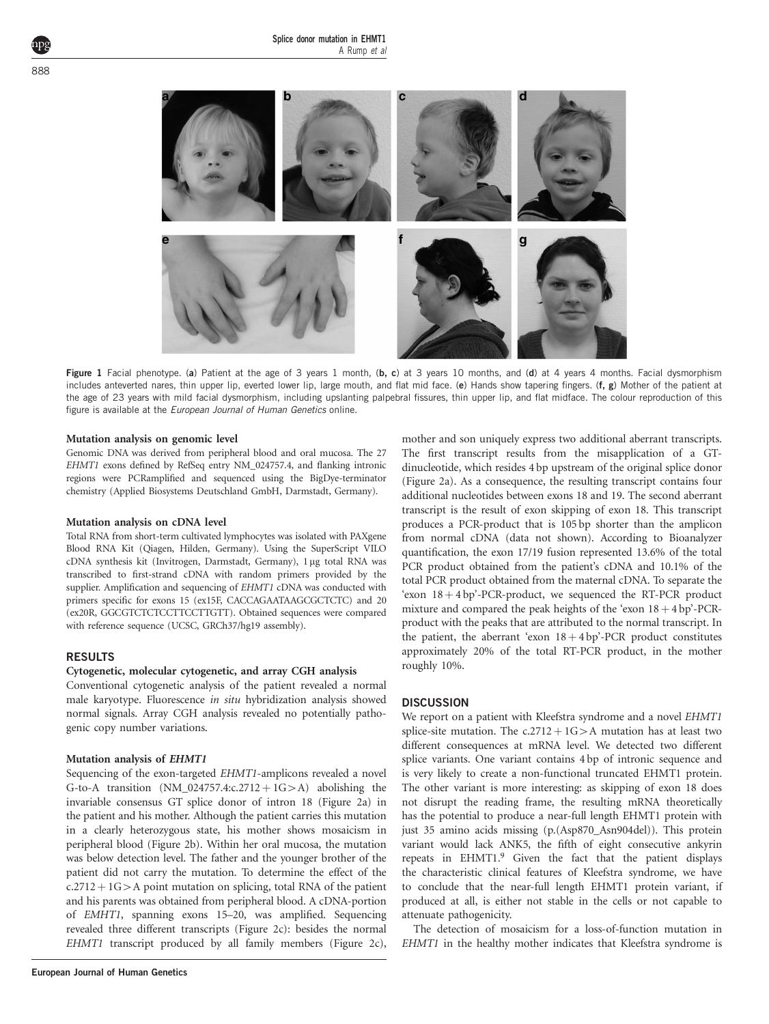<span id="page-1-0"></span>

Figure 1 Facial phenotype. (a) Patient at the age of 3 years 1 month, (b, c) at 3 years 10 months, and (d) at 4 years 4 months. Facial dysmorphism includes anteverted nares, thin upper lip, everted lower lip, large mouth, and flat mid face. (e) Hands show tapering fingers. (f, g) Mother of the patient at the age of 23 years with mild facial dysmorphism, including upslanting palpebral fissures, thin upper lip, and flat midface. The colour reproduction of this figure is available at the *European Journal of Human Genetics* online.

#### Mutation analysis on genomic level

Genomic DNA was derived from peripheral blood and oral mucosa. The 27 EHMT1 exons defined by RefSeq entry NM\_024757.4, and flanking intronic regions were PCRamplified and sequenced using the BigDye-terminator chemistry (Applied Biosystems Deutschland GmbH, Darmstadt, Germany).

#### Mutation analysis on cDNA level

Total RNA from short-term cultivated lymphocytes was isolated with PAXgene Blood RNA Kit (Qiagen, Hilden, Germany). Using the SuperScript VILO cDNA synthesis kit (Invitrogen, Darmstadt, Germany), 1 µg total RNA was transcribed to first-strand cDNA with random primers provided by the supplier. Amplification and sequencing of EHMT1 cDNA was conducted with primers specific for exons 15 (ex15F, CACCAGAATAAGCGCTCTC) and 20 (ex20R, GGCGTCTCTCCTTCCTTGTT). Obtained sequences were compared with reference sequence (UCSC, GRCh37/hg19 assembly).

#### RESULTS

#### Cytogenetic, molecular cytogenetic, and array CGH analysis

Conventional cytogenetic analysis of the patient revealed a normal male karyotype. Fluorescence in situ hybridization analysis showed normal signals. Array CGH analysis revealed no potentially pathogenic copy number variations.

#### Mutation analysis of EHMT1

Sequencing of the exon-targeted EHMT1-amplicons revealed a novel G-to-A transition  $(NM_024757.4: c.2712 + 1G > A)$  abolishing the invariable consensus GT splice donor of intron 18 ([Figure 2a](#page-2-0)) in the patient and his mother. Although the patient carries this mutation in a clearly heterozygous state, his mother shows mosaicism in peripheral blood [\(Figure 2b\)](#page-2-0). Within her oral mucosa, the mutation was below detection level. The father and the younger brother of the patient did not carry the mutation. To determine the effect of the  $c.2712 + 1G > A$  point mutation on splicing, total RNA of the patient and his parents was obtained from peripheral blood. A cDNA-portion of EMHT1, spanning exons 15–20, was amplified. Sequencing revealed three different transcripts [\(Figure 2c](#page-2-0)): besides the normal EHMT1 transcript produced by all family members ([Figure 2c\)](#page-2-0), mother and son uniquely express two additional aberrant transcripts. The first transcript results from the misapplication of a GTdinucleotide, which resides 4 bp upstream of the original splice donor ([Figure 2a](#page-2-0)). As a consequence, the resulting transcript contains four additional nucleotides between exons 18 and 19. The second aberrant transcript is the result of exon skipping of exon 18. This transcript produces a PCR-product that is 105 bp shorter than the amplicon from normal cDNA (data not shown). According to Bioanalyzer quantification, the exon 17/19 fusion represented 13.6% of the total PCR product obtained from the patient's cDNA and 10.1% of the total PCR product obtained from the maternal cDNA. To separate the 'exon  $18 + 4$  bp'-PCR-product, we sequenced the RT-PCR product mixture and compared the peak heights of the 'exon  $18 + 4$  bp'-PCRproduct with the peaks that are attributed to the normal transcript. In the patient, the aberrant 'exon  $18 + 4$  bp'-PCR product constitutes approximately 20% of the total RT-PCR product, in the mother roughly 10%.

#### **DISCUSSION**

We report on a patient with Kleefstra syndrome and a novel EHMT1 splice-site mutation. The c.2712 +  $1G>A$  mutation has at least two different consequences at mRNA level. We detected two different splice variants. One variant contains 4 bp of intronic sequence and is very likely to create a non-functional truncated EHMT1 protein. The other variant is more interesting: as skipping of exon 18 does not disrupt the reading frame, the resulting mRNA theoretically has the potential to produce a near-full length EHMT1 protein with just 35 amino acids missing (p.(Asp870\_Asn904del)). This protein variant would lack ANK5, the fifth of eight consecutive ankyrin repeats in EHMT1.[9](#page-3-0) Given the fact that the patient displays the characteristic clinical features of Kleefstra syndrome, we have to conclude that the near-full length EHMT1 protein variant, if produced at all, is either not stable in the cells or not capable to attenuate pathogenicity.

The detection of mosaicism for a loss-of-function mutation in EHMT1 in the healthy mother indicates that Kleefstra syndrome is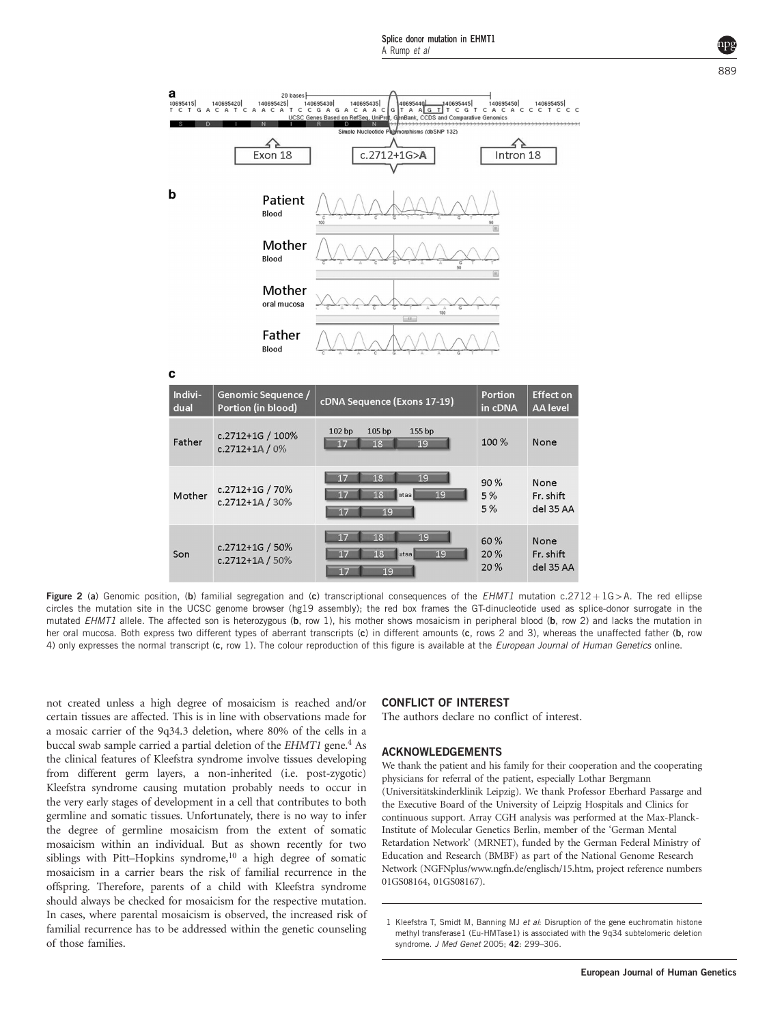<span id="page-2-0"></span>

Figure 2 (a) Genomic position, (b) familial segregation and (c) transcriptional consequences of the EHMT1 mutation c.2712 + 1G > A. The red ellipse circles the mutation site in the UCSC genome browser (hg19 assembly); the red box frames the GT-dinucleotide used as splice-donor surrogate in the mutated EHMT1 allele. The affected son is heterozygous (b, row 1), his mother shows mosaicism in peripheral blood (b, row 2) and lacks the mutation in her oral mucosa. Both express two different types of aberrant transcripts (c) in different amounts (c, rows 2 and 3), whereas the unaffected father (b, row 4) only expresses the normal transcript (c, row 1). The colour reproduction of this figure is available at the *European Journal of Human Genetics* online.

 $19$ 

not created unless a high degree of mosaicism is reached and/or certain tissues are affected. This is in line with observations made for a mosaic carrier of the 9q34.3 deletion, where 80% of the cells in a buccal swab sample carried a partial deletion of the EHMT1 gene.<sup>4</sup> As the clinical features of Kleefstra syndrome involve tissues developing from different germ layers, a non-inherited (i.e. post-zygotic) Kleefstra syndrome causing mutation probably needs to occur in the very early stages of development in a cell that contributes to both germline and somatic tissues. Unfortunately, there is no way to infer the degree of germline mosaicism from the extent of somatic mosaicism within an individual. But as shown recently for two siblings with Pitt–Hopkins syndrome, $10$  a high degree of somatic mosaicism in a carrier bears the risk of familial recurrence in the offspring. Therefore, parents of a child with Kleefstra syndrome should always be checked for mosaicism for the respective mutation. In cases, where parental mosaicism is observed, the increased risk of familial recurrence has to be addressed within the genetic counseling of those families.

c.2712+1A / 50%

#### CONFLICT OF INTEREST

The authors declare no conflict of interest.

20%

#### ACKNOWLEDGEMENTS

We thank the patient and his family for their cooperation and the cooperating physicians for referral of the patient, especially Lothar Bergmann (Universitätskinderklinik Leipzig). We thank Professor Eberhard Passarge and the Executive Board of the University of Leipzig Hospitals and Clinics for continuous support. Array CGH analysis was performed at the Max-Planck-Institute of Molecular Genetics Berlin, member of the 'German Mental Retardation Network' (MRNET), funded by the German Federal Ministry of Education and Research (BMBF) as part of the National Genome Research Network (NGFNplus/<www.ngfn.de/englisch/15.htm>, project reference numbers 01GS08164, 01GS08167).

del 35 AA

<sup>1</sup> Kleefstra T, Smidt M, Banning MJ et al: Disruption of the gene euchromatin histone methyl transferase1 (Eu-HMTase1) is associated with the 9q34 subtelomeric deletion syndrome. J Med Genet 2005; 42: 299–306.